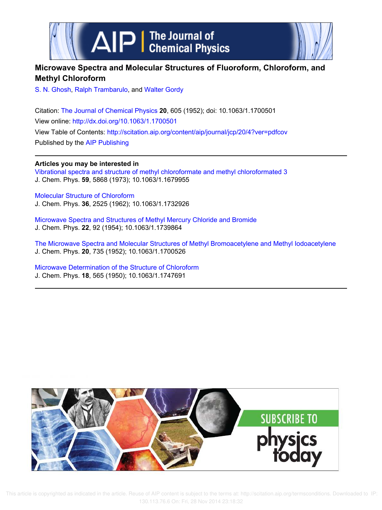



# **Microwave Spectra and Molecular Structures of Fluoroform, Chloroform, and Methyl Chloroform**

S. N. Ghosh, Ralph Trambarulo, and Walter Gordy

Citation: The Journal of Chemical Physics **20**, 605 (1952); doi: 10.1063/1.1700501 View online: http://dx.doi.org/10.1063/1.1700501 View Table of Contents: http://scitation.aip.org/content/aip/journal/jcp/20/4?ver=pdfcov Published by the AIP Publishing

**Articles you may be interested in**

Vibrational spectra and structure of methyl chloroformate and methyl chloroformated 3 J. Chem. Phys. **59**, 5868 (1973); 10.1063/1.1679955

Molecular Structure of Chloroform J. Chem. Phys. **36**, 2525 (1962); 10.1063/1.1732926

Microwave Spectra and Structures of Methyl Mercury Chloride and Bromide J. Chem. Phys. **22**, 92 (1954); 10.1063/1.1739864

The Microwave Spectra and Molecular Structures of Methyl Bromoacetylene and Methyl Iodoacetylene J. Chem. Phys. **20**, 735 (1952); 10.1063/1.1700526

Microwave Determination of the Structure of Chloroform J. Chem. Phys. **18**, 565 (1950); 10.1063/1.1747691



 This article is copyrighted as indicated in the article. Reuse of AIP content is subject to the terms at: http://scitation.aip.org/termsconditions. Downloaded to IP: 130.113.76.6 On: Fri, 28 Nov 2014 23:18:32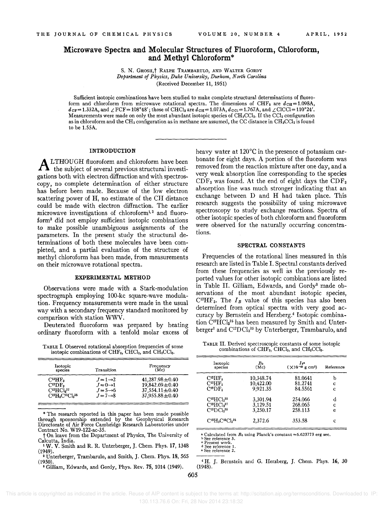## Microwave Spectra and Molecular Structures of Fluoroform, Chloroform, and Methyl Chloroform\*

S. N. GHOSH,<sup>†</sup> RALPH TRAMBARULO, AND WALTER GORDY *Department of Physics, Duke University, Durham, North Carolina*  (Received December 11, 1951)

Sufficient isotopic combinations have been studied to make complete structural determinations of fluoroform and chloroform from microwave rotational spectra. The dimensions of CHF<sub>3</sub> are  $d_{\text{CH}}= 1.098$ A,  $d_{\text{CF}} = 1.332$ A, and  $\angle$  FCF = 108°48'; those of CHCl<sub>3</sub> are  $d_{\text{CH}} = 1.073$ A,  $d_{\text{CO}} = 1.767$ A, and  $\angle$  ClCCl = 110°24'. Measurements were made on only the most abundant isotopic species of  $CH_3CCl_3$ . If the CCl<sub>a</sub> configuration as in chloroform and the CH<sub>3</sub> configuration as in methane are assumed, the CC distance in  $CH_3CCl_3$  is found to be 1.55A.

#### INTRODUCTION

**ALTHOUGH** fluoroform and chloroform have been<br>the subject of several previous structural investi-LTHOUGH Huoroform and chloroform have been gations both with electron diffraction and with spectroscopy, no complete determination of either structure has before been made. Because of the low electron scattering power of H, no estimate of the CH distance could be made with electron diffraction. The earlier microwave investigations of chloroform<sup>1,2</sup> and fluoroform3 did not employ sufficient isotopic combinations to make possible unambiguous assignments of the parameters. In the present study the structural determinations of both these molecules have been completed, and a partial evaluation of the structure of methyl chloroform has been made, from measurements on their microwave rotational spectra.

#### EXPERIMENTAL METHOD

Observations were made with a Stark-modulation spectrograph employing 100-kc square-wave modulation. Frequency measurements were made in the usual way with a secondary frequency standard monitored by comparison with station WWV.

Deuterated fluoroform was prepared by heating ordinary Huoroform with a tenfold molar excess of

TABLE 1. Observed rotational absorption frequencies of some isotopic combinations of  $CHF_3$ ,  $CHCl_3$ , and  $CH_3CCl_3$ .

| Isotopic<br>species                 | Transition            | Frequency<br>(Mc)    |
|-------------------------------------|-----------------------|----------------------|
| $C^{13}HF_3$                        | $J = 1 \rightarrow 2$ | $41,287.98 \pm 0.40$ |
| $C^{12}DF3$                         | $J = 0 \rightarrow 1$ | 19,842.69 ± 0.40     |
| $C^{12}HCl3$ 37                     | $J = 5 \rightarrow 6$ | $37,554.11 \pm 0.40$ |
| $C^{12}H_3C^{12}Cl_3$ <sup>35</sup> | $J = 7 \rightarrow 8$ | $37,955.88 \pm 0.40$ |

\* The research reported in this paper has been made possible through sponsorship extended by the Geophysical Research Directorate of Air Force Cambridge Research Laboratories under Contract No. W19-122-ac-35.

<sup>2</sup> Unterberger, Trambarulo, and Smith, J. Chem. Phys. 18, 565 (1950).

<sup>3</sup> Gilliam, Edwards, and Gordy, Phys. Rev. 75, 1014 (1949).

heavy water at 120°C in the presence of potassium carbonate for eight days. A portion of the fluoroform was removed from the reaction mixture after one day, and a very weak absorption line corresponding to the species  $CDF<sub>3</sub>$  was found. At the end of eight days the  $CDF<sub>3</sub>$ absorption line was much stronger indicating that an exchange between D and H had taken place. This research suggests the possibility of using microwave spectroscopy to study exchange reactions. Spectra of other isotopic species of both chloroform and Huoroform were observed for the naturally occurring concentrations.

#### SPECTRAL CONSTANTS

Frequencies of the rotational lines measured in this research are listed in Table 1. Spectral constants derived from these frequencies as well as the previously reported values for other isotopic combinations are listed in Table II. Gilliam, Edwards, and Gordy<sup>3</sup> made observations of the most abundant isotopic species,  $C^{12}HF_3$ . The  $I_B$  value of this species has also been determined from optical spectra with very good accuracy by Bernstein and Herzberg.4 Isotopic combination C<sup>12</sup>HCl<sub>3</sub>35</sub> has been measured by Smith and Unterberger<sup>1</sup> and C<sup>12</sup>DCl<sub>3</sub><sup>35</sup> by Unterberger, Trambarulo, and

TABLE II. Derived spectroscopic constants of some isotopic combinations of  $CHF_3$ ,  $CHCl_3$ , and  $CH_3CCl_3$ .

| Isotopic<br>species        | $B_0$<br>(Mc) | ∄ьв<br>$(X10^{-40} \text{ g cm}^2)$ | Reference |
|----------------------------|---------------|-------------------------------------|-----------|
| $C^{12}HF_3$               | 10,348.74     | 81.0641                             | b         |
| $C^{13}HF_3$               | 10,422.00     | 81.2741                             | C         |
| $C^{12}DF3$                | 9,921.35      | 84.5561                             | C         |
| $C^{12}HCl3^{35}$          | 3,301.94      | 254.066                             | d         |
| $C^{12}HCl3^{37}$          | 3,129.51      | 268.065                             | C         |
| $C^{12}DCl3$ 35            | 3,250.17      | 258.113                             | e         |
| $C^{12}H_3C^{12}Cl_3^{35}$ | 2,372.6       | 353.58                              | c         |

<sup>a</sup> Calculated from  $B_0$  using Planck's constant =6.623773 erg sec.

<sup>b</sup> See reference 3.<br>• Present work.

<sup>d</sup> See reference 1.<br>• See reference 2.

<sup>4</sup> H. J. Bernstein and G. Herzberg, J. Chem. Phys. 16, 30 (1948).

605

t On leave from the Department of Physics, The University of Calcutta, India.

<sup>1</sup>W. V. Smith and R. R. Unterberger, J. Chern. Phys. 17, 1348 (1949).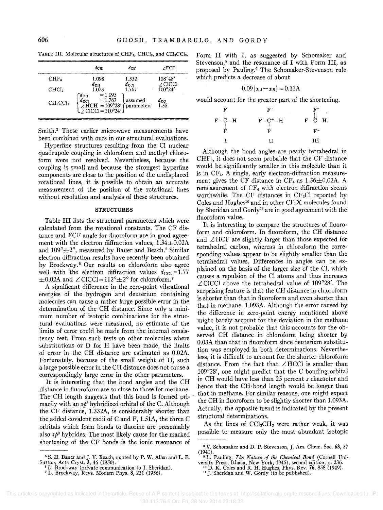TABLE III. Molecular structures of  $CHF<sub>3</sub>$ , CHCl<sub>3</sub>, and CH<sub>3</sub>CCl<sub>3</sub>.

|                   | $d$ CH                                                                                                                                                                                                                                                                                            | $d$ CF                 | ∠FCF                      |  |
|-------------------|---------------------------------------------------------------------------------------------------------------------------------------------------------------------------------------------------------------------------------------------------------------------------------------------------|------------------------|---------------------------|--|
| CHF <sub>3</sub>  | 1.098                                                                                                                                                                                                                                                                                             | 1.332                  | 108°48'<br>$\angle$ CICCI |  |
| CHCl <sub>3</sub> | $d_{\rm CH}$<br>1.073                                                                                                                                                                                                                                                                             | $d_{\rm CO1}$<br>1.767 | 110°24'                   |  |
| $CH_3CCl_3$       | $\begin{array}{l} \left< d_{\rm{CH}} \right> = 1.093 \\ \left< d_{\rm{CO}} \right> = 1.767 \\ \left< \rule{0pt}{3.2pt} \left< H{\rm{CH}} = 109^{\circ}28' \right> \right> \text{parameters} \\ \left< \rule{0pt}{3.2pt} \left< \rule{0pt}{3.2pt} {\rm{ClCC}} \right = 110^{\circ}24' \end{array}$ |                        | $rac{d_{\rm CG}}{1.55}$   |  |

Smith.<sup>2</sup> These earlier microwave measurements have been combined with ours in our structural evaluations.

Hyperfine structures resulting from the CI nuclear quadrupole coupling in chloroform and methyl chloroform were not resolved. Nevertheless, because the coupling is small and because the strongest hyperfine components are close to the position of the undisplaced rotational lines, it is possible to obtain an accurate measurement of the position of the rotational lines without resolution and analysis of these structures.

### **STRUCTURES**

Table III lists the structural parameters which were calculated from the rotational constants. The CF distance and FCF angle for fluoroform are in good agreement with the electron diffraction values,  $1.34 \pm 0.02$ A and  $109^{\circ} \pm 2^{\circ}$ , measured by Bauer and Beach.<sup>5</sup> Similar electron diffraction results have recently been obtained by Brockway.6 Our results on chloroform also agree well with the electron diffraction values  $d_{\text{CC}} = 1.77$  $\pm 0.02$ A and  $\angle$  CICCI=112° $\pm$ 2° for chloroform.<sup>7</sup>

A significant difference in the zero-point vibrational energies of the hydrogen and deuterium containing molecules can cause a rather large possible error in the determination of the CH distance. Since only a minimum number of isotopic combinations for the structural evaluations were measured, no estimate of the limits of error could be made from the internal consistency test. From such tests on other molecules where substitutions or D for H have been made, the limits of error in the CH distance are estimated as 0.02A. Fortunately, because of the small weight of H, such a large possible error in the CH distance does not cause a correspondingly large error in the other parameters.

It is interesting that the bond angles and the CH distance in fluoroform are so close to those for methane. The CH length suggests that this bond is formed primarily with an *Sp3* hybridized orbital of the C. Although the CF distance, 1.332A, is considerably shorter than the added covalent radii of C and F, 1.51A, the three C orbitals which form bonds to fluorine are presumably also  $s\phi^3$  hybrides. The most likely cause for the marked shortening of the CF bonds is the ionic resonance of Form II with I, as suggested by Schomaker and Stevenson, $<sup>8</sup>$  and the resonance of I with Form III, as</sup> proposed by Pauling.<sup>9</sup> The Schomaker-Stevenson rule which predicts a decrease of about

$$
0.09 \, | \, x_A - x_B | = 0.13 \, \text{A}
$$

would account for the greater part of the shortening.



Although the bond angles are nearly tetrahedral in CHF3, it does not seem probable that the CF distance would be significantly smaller in this molecule than it is in CF<sup>4</sup> • A single, early electron-diffraction measurement gives the CF distance in  $CF_4$  as  $1.36 \pm 0.02$ A. A remeasurement of  $CF_4$  with electron diffraction seems worthwhile. The CF distances in  $CF<sub>3</sub>Cl$  reported by Coles and Hughes<sup>10</sup> and in other  $CF_{3}X$  molecules found by Sheridan and Gordyll are in good agreement with the fluoroform value.

It is interesting to compare the structures of fluoroform and chloroform. In fluoroform, the CH distance and  $\angle HCF$  are slightly larger than those expected for tetrahedral carbon, whereas in chloroform the corresponding values appear to be slightly smaller than the tetrahedral values. Differences in angles can be explained on the basis of the larger size of the CI, which causes a repulsion of the CI atoms and thus increases  $\angle$  CICCI above the tetrahedral value of 109°28'. The surprising feature is that the CH distance in chloroform is shorter than that in fluoroform and even shorter than that in methane, 1.093A. Although the error caused by the difference in zero-point energy mentioned above might barely account for the deviation in the methane value, it is not probable that this accounts for the observed CH distance in chloroform being shorter by 0.03A than that in fluoroform since deuterium substitution was employed in both determinations. Nevertheless, it is difficult to account for the shorter chloroform distance. From the fact that  $\angle$  HCCI is smaller than 109°28', one might predict that the C bonding orbital in CH would have less than 25 percent *s* character and hence that the CH· bond length would be longer than that in methane. For similar reasons, one might expect the CH in fluoroform to be slightly shorter than 1.093A. Actually, the opposite trend is indicated by the present structural determinations.

As the lines of  $\text{CCl}_3\text{CH}_3$  were rather weak, it was possible to measure only the most abundant isotopic

 This article is copyrighted as indicated in the article. Reuse of AIP content is subject to the terms at: http://scitation.aip.org/termsconditions. Downloaded to IP: 130.113.76.6 On: Fri, 28 Nov 2014 23:18:32

<sup>&</sup>lt;sup>5</sup> S. H. Bauer and J. Y. Beach, quoted by P. W. Allen and L. E.<br>Sutton, Acta Cryst. 3, 46 (1950).<br><sup>6</sup> L. Brockway (private communication to J. Sheridan).<br><sup>7</sup> L. Brockway, Revs. Modern Phys. 8, 231 (1936).

<sup>&</sup>lt;sup>8</sup> V. Schomaker and D. P. Stevenson, J. Am. Chem. Soc. 63, 37 (1941). . ,

<sup>&</sup>lt;sup>9</sup> L. Pauling, *The Nature of the Chemical Bond* (Cornell University Press, Ithaca, New York, 1945), second edition, p. 236.<br><sup>10</sup> D. K. Coles and R. H. Hughes, Phys. Rev. 76, 858 (1949).<br><sup>11</sup> J. Sheridan and W. Gordy (to